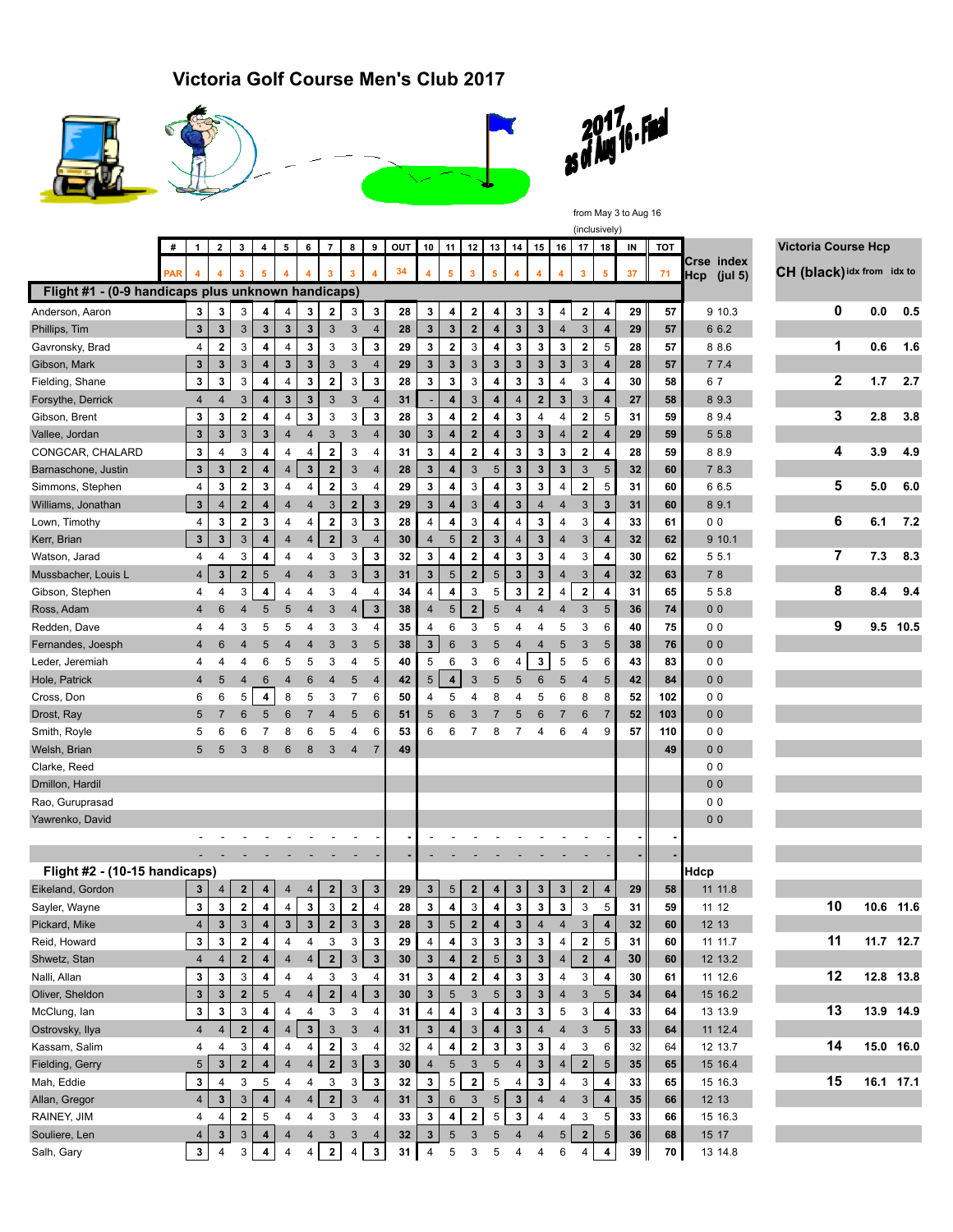**Victoria Golf Course Men's Club 2017**









from May 3 to Aug 16 (inclusively)

|                                                    | # | $\mathbf{1}$                   | $\overline{2}$               | $\mathbf{3}$               | 4                            | 5                       | 6              | $\overline{7}$      | 8                       | 9                            | OUT | 10              | 11                      | 12                      | 13                      | 14                      | 15                | 16                      | 17                      | 18                      | IN       | тот      |                           | <b>Victoria Course Hcp</b> |     |           |
|----------------------------------------------------|---|--------------------------------|------------------------------|----------------------------|------------------------------|-------------------------|----------------|---------------------|-------------------------|------------------------------|-----|-----------------|-------------------------|-------------------------|-------------------------|-------------------------|-------------------|-------------------------|-------------------------|-------------------------|----------|----------|---------------------------|----------------------------|-----|-----------|
|                                                    |   |                                |                              | 3                          | 5                            |                         |                | 3                   | $\overline{\mathbf{3}}$ |                              | 34  |                 | 5                       | $\mathbf{3}$            | 5                       | $\overline{4}$          | 4                 | $\overline{4}$          | 3                       | 5                       | 37       | 71       | Crse index<br>Hcp (jul 5) | CH (black) idx from idx to |     |           |
| Flight #1 - (0-9 handicaps plus unknown handicaps) |   |                                |                              |                            |                              |                         |                |                     |                         |                              |     |                 |                         |                         |                         |                         |                   |                         |                         |                         |          |          |                           |                            |     |           |
| Anderson, Aaron                                    |   | 3                              | 3                            | 3                          | 4                            | 4                       | 3              | 2                   | 3                       | 3                            | 28  | 3               | 4                       | $\mathbf 2$             | 4                       | 3                       | 3                 | 4                       | 2                       | 4                       | 29       | 57       | 9 10.3                    | 0                          | 0.0 | 0.5       |
| Phillips, Tim                                      |   | $\mathbf{3}$                   | 3                            | $\mathbf{3}$               | $\mathbf{3}$                 | $\mathbf{3}$            | $\mathbf{3}$   | 3                   | $\mathbf{3}$            | $\overline{4}$               | 28  | $\mathbf{3}$    | $\mathbf{3}$            | $\mathbf{2}$            | 4                       | $\mathbf{3}$            | $\mathbf{3}$      | 4                       | $\mathbf{3}$            | $\overline{4}$          | 29       | 57       | 6 6.2                     |                            |     |           |
| Gavronsky, Brad                                    |   | 4                              | $\bf 2$                      | 3                          | 4                            | 4                       | $\mathbf{3}$   | 3                   | 3                       | 3                            | 29  | 3               | $\bf{2}$                | 3                       | $\overline{\mathbf{4}}$ | 3                       | $\mathbf 3$       | $\mathbf 3$             | $\bf 2$                 | 5                       | 28       | 57       | 88.6                      | 1                          | 0.6 | 1.6       |
| Gibson, Mark                                       |   | $\mathbf{3}$                   | 3                            | 3                          | 4                            | $\mathbf{3}$            | $\mathbf{3}$   | 3                   | $\sqrt{3}$              | $\overline{4}$               | 29  | $\mathbf{3}$    | $\mathbf{3}$            | 3                       | $\mathbf{3}$            | $\mathbf{3}$            | $\mathbf{3}$      | $\overline{\mathbf{3}}$ | $\mathbf{3}$            | $\overline{4}$          | 28       | 57       | 77.4                      |                            |     |           |
| Fielding, Shane                                    |   | $\mathbf{3}$                   | 3                            | 3                          | $\overline{\mathbf{4}}$      | $\overline{\mathbf{4}}$ | 3              | $\mathbf{2}$        | 3                       | 3                            | 28  | 3               | $\mathbf{3}$            | 3                       | 4                       | 3                       | 3                 | 4                       | 3                       | 4                       | 30       | 58       | 67                        | $\mathbf 2$                | 1.7 | 2.7       |
| Forsythe, Derrick                                  |   | $\overline{4}$                 | $\overline{4}$               | $\sqrt{3}$                 | 4                            | $\mathbf{3}$            | $\mathbf 3$    | 3                   | 3                       | $\overline{4}$               | 31  |                 | $\overline{\mathbf{4}}$ | 3                       | $\overline{\mathbf{4}}$ | $\overline{4}$          | $\overline{2}$    | $\mathbf 3$             | 3                       | 4                       | 27       | 58       | 89.3                      |                            |     |           |
| Gibson, Brent                                      |   | 3                              | 3                            | $\overline{\mathbf{2}}$    | 4                            | $\overline{4}$          | 3              | 3                   | 3                       | 3                            | 28  | 3               | 4                       | $\overline{\mathbf{2}}$ | 4                       | 3                       | $\overline{4}$    | 4                       | $\bf{2}$                | 5                       | 31       | 59       | 89.4                      | 3                          | 2.8 | 3.8       |
| Vallee, Jordan                                     |   | $\mathbf{3}$                   | $\mathbf{3}$                 | $\mathbf{3}$               | $\mathbf{3}$                 | $\overline{4}$          | $\overline{4}$ | 3                   | 3                       | $\overline{4}$               | 30  | $\mathbf{3}$    | 4                       | $\mathbf{2}$            | $\overline{\mathbf{4}}$ | $\mathbf 3$             | $\mathbf{3}$      | 4                       | $\mathbf{2}$            | 4                       | 29       | 59       | 5 5.8                     |                            |     |           |
| CONGCAR, CHALARD                                   |   | 3                              | 4                            | 3                          | $\overline{\mathbf{4}}$      | 4                       | 4              | $\mathbf{2}$        | 3                       | 4                            | 31  | 3               | 4                       | $\mathbf{2}$            | 4                       | 3                       | $\mathbf 3$       | 3                       | $\overline{\mathbf{2}}$ | 4                       | 28       | 59       | 88.9                      | 4                          | 3.9 | 4.9       |
| Barnaschone, Justin                                |   | $\mathbf{3}$                   | 3                            | $\mathbf 2$                | $\overline{\mathbf{4}}$      | $\overline{4}$          | $\mathbf{3}$   | $\mathbf{2}$        | $\mathbf{3}$            | $\overline{4}$               | 28  | $\mathbf{3}$    | 4                       | $\mathbf{3}$            | 5                       | $\mathbf{3}$            | $\mathbf{3}$      | 3                       | $\sqrt{3}$              | $5\phantom{.0}$         | 32       | 60       | 7 8.3                     |                            |     |           |
| Simmons, Stephen                                   |   | 4                              | 3                            | $\bf 2$                    | 3                            | 4                       | 4              | $\bf 2$             | 3                       | 4                            | 29  | 3               | $\overline{\mathbf{4}}$ | 3                       | 4                       | 3                       | 3                 | 4                       | $\mathbf 2$             | 5                       | 31       | 60       | 6 6.5                     | 5                          | 5.0 | 6.0       |
| Williams, Jonathan                                 |   | $\mathbf{3}$                   | $\overline{4}$               | $\mathbf 2$                | 4                            | $\overline{4}$          | $\overline{4}$ | 3                   | $\overline{\mathbf{2}}$ | $\overline{\mathbf{3}}$      | 29  | $\mathbf{3}$    | $\overline{\mathbf{4}}$ | 3                       | $\overline{\mathbf{4}}$ | $\mathbf 3$             | $\overline{4}$    | 4                       | $\mathbf{3}$            | $\mathbf{3}$            | 31       | 60       | 89.1                      |                            |     |           |
| Lown, Timothy                                      |   | 4                              | 3                            | $\bf{2}$                   | 3                            | 4                       | 4              | $\mathbf{2}$        | 3                       | 3                            | 28  | 4               | 4                       | 3                       | $\overline{\mathbf{4}}$ | 4                       | 3                 | 4                       | 3                       | 4                       | 33       | 61       | 0 <sub>0</sub>            | 6                          | 6.1 | 7.2       |
| Kerr, Brian                                        |   | $\mathbf{3}$                   | $\mathbf{3}$                 | $\mathbf{3}$               | $\overline{4}$               | $\overline{4}$          | 4              | $\overline{2}$      | $\mathbf{3}$            | $\overline{4}$               | 30  | 4               | 5                       | $\mathbf{2}$            | $\mathbf{3}$            | $\overline{4}$          | $\mathbf{3}$      | 4                       | 3                       | 4                       | 32       | 62       | 9 10.1                    |                            |     |           |
| Watson, Jarad                                      |   | 4                              | $\overline{4}$               | 3                          | 4                            | 4                       | 4              | 3                   | 3                       | 3                            | 32  | 3               | $\overline{\mathbf{4}}$ | $\mathbf{2}$            | $\overline{\mathbf{4}}$ | 3                       | 3                 | 4                       | 3                       | 4                       | 30       | 62       | 5 5.1                     | 7                          | 7.3 | 8.3       |
| Mussbacher, Louis L                                |   | $\overline{4}$                 | 3                            | $\mathbf{2}$               | 5                            | $\overline{4}$          | $\overline{4}$ | 3                   | $\mathbf{3}$            | $\overline{\mathbf{3}}$      | 31  | 3               | 5                       | $\mathbf{2}$            | $\sqrt{5}$              | $\mathbf{3}$            | $\mathbf{3}$      | $\overline{4}$          | $\mathbf{3}$            | 4                       | 32       | 63       | 78                        |                            |     |           |
| Gibson, Stephen                                    |   | 4                              | $\overline{4}$               | 3                          | 4                            | $\overline{\mathbf{4}}$ | 4              | 3                   | 4                       | 4                            | 34  | 4               | 4                       | 3                       | 5                       | 3                       | $\mathbf{2}$      | 4                       | $\mathbf 2$             | 4                       | 31       | 65       | 5 5.8                     | 8                          | 8.4 | 9.4       |
| Ross, Adam                                         |   | $\overline{4}$                 | $6\phantom{1}6$              | $\overline{4}$             | 5                            | 5                       | $\overline{4}$ | 3                   | $\overline{4}$          | $\mathbf{3}$                 | 38  | 4               | 5                       | $\mathbf{2}$            | 5                       | $\overline{4}$          | $\overline{4}$    | $\overline{\mathbf{4}}$ | $\mathbf{3}$            | 5                       | 36       | 74       | 0 <sub>0</sub>            |                            |     |           |
| Redden, Dave                                       |   | 4                              | 4                            | 3                          | 5                            | 5                       | 4              | 3                   | 3                       | 4                            | 35  | 4               | 6                       | 3                       | 5                       | 4                       | 4                 | 5                       | 3                       | 6                       | 40       | 75       | 0 <sub>0</sub>            | 9                          |     | 9.5 10.5  |
| Fernandes, Joesph                                  |   | 4                              | 6                            | 4                          | 5                            | $\overline{4}$          | 4              | 3                   | 3                       | 5                            | 38  | 3 <sup>1</sup>  | $6\phantom{1}6$         | 3                       | 5                       | 4                       | $\overline{4}$    | 5                       | $\sqrt{3}$              | $5\phantom{.0}$         | 38       | 76       | 0 <sub>0</sub>            |                            |     |           |
| Leder, Jeremiah                                    |   | 4                              | 4                            | 4                          | 6                            | 5                       | 5              | 3                   | $\overline{4}$          | 5                            | 40  | 5               | 6                       | 3                       | 6                       | 4                       | 3                 | 5                       | 5                       | 6                       | 43       | 83       | 0 <sub>0</sub>            |                            |     |           |
| Hole, Patrick                                      |   | 4                              | 5                            | $\overline{4}$             | 6                            | 4                       | 6              | $\overline{4}$      | 5                       | $\overline{4}$               | 42  | 5               | $\overline{\mathbf{4}}$ | 3                       | 5                       | 5                       | 6                 | 5                       | $\overline{4}$          | $\overline{5}$          | 42       | 84       | 0 <sub>0</sub>            |                            |     |           |
| Cross, Don                                         |   | 6                              | 6                            | 5                          | 4                            | 8                       | 5              | 3                   | $\overline{7}$          | 6                            | 50  | 4               | 5                       | 4                       | 8                       | 4                       | 5                 | 6                       | 8                       | 8                       | 52       | 102      | 0 <sub>0</sub>            |                            |     |           |
| Drost, Ray                                         |   | 5                              | $\overline{7}$               | 6                          | 5                            | 6                       | $\overline{7}$ | 4                   | 5                       | $6\phantom{1}6$              | 51  | 5               | 6                       | 3                       | $\overline{7}$          | 5                       | 6                 | $\overline{7}$          | 6                       | $\overline{7}$          | 52       | 103      | 0 <sub>0</sub>            |                            |     |           |
| Smith, Royle                                       |   | 5                              | 6                            | 6                          |                              | 8                       | 6              | 5                   | 4                       | 6                            | 53  | 6               | 6                       | 7                       | 8                       | $\overline{7}$          | 4                 | 6                       | 4                       | 9                       | 57       | 110      | 0 <sub>0</sub>            |                            |     |           |
| Welsh, Brian                                       |   | 5                              | 5                            | 3                          | 8                            | 6                       | 8              | 3                   | $\overline{4}$          | 7                            | 49  |                 |                         |                         |                         |                         |                   |                         |                         |                         |          | 49       | 0 <sub>0</sub>            |                            |     |           |
| Clarke, Reed                                       |   |                                |                              |                            |                              |                         |                |                     |                         |                              |     |                 |                         |                         |                         |                         |                   |                         |                         |                         |          |          | 0 <sub>0</sub>            |                            |     |           |
| Dmillon, Hardil                                    |   |                                |                              |                            |                              |                         |                |                     |                         |                              |     |                 |                         |                         |                         |                         |                   |                         |                         |                         |          |          | 0 <sub>0</sub>            |                            |     |           |
| Rao, Guruprasad                                    |   |                                |                              |                            |                              |                         |                |                     |                         |                              |     |                 |                         |                         |                         |                         |                   |                         |                         |                         |          |          | 0 <sub>0</sub>            |                            |     |           |
| Yawrenko, David                                    |   |                                |                              |                            |                              |                         |                |                     |                         |                              |     |                 |                         |                         |                         |                         |                   |                         |                         |                         |          |          | 0 <sub>0</sub>            |                            |     |           |
|                                                    |   |                                |                              |                            |                              |                         |                |                     |                         |                              |     |                 |                         |                         |                         |                         |                   |                         |                         |                         |          |          |                           |                            |     |           |
|                                                    |   |                                |                              |                            |                              |                         |                |                     |                         |                              |     |                 |                         |                         |                         |                         |                   |                         |                         |                         |          |          |                           |                            |     |           |
| Flight #2 - (10-15 handicaps)                      |   |                                |                              |                            |                              |                         |                |                     |                         |                              |     |                 |                         |                         |                         |                         |                   |                         |                         |                         |          |          | Hdcp                      |                            |     |           |
| Eikeland, Gordon                                   |   | $\mathbf{3}$                   | 4                            | $\mathbf{2}$               | 4                            | $\overline{4}$          | 4              | $\mathbf{2}$        | 3                       | $\mathbf{3}$                 | 29  | $\mathbf{3}$    | 5                       | $\mathbf{2}$            | 4                       | 3                       | $\mathbf{3}$      | 3                       | $\mathbf{2}$            | 4                       | 29       | 58       | 11 11.8                   |                            |     |           |
| Sayler, Wayne                                      |   | $\mathbf{3}$                   | 3                            | $\bf 2$                    | $\overline{\mathbf{4}}$      | $\overline{4}$          | $\mathbf{3}$   | 3                   | $\bf 2$                 | $\overline{4}$               | 28  | 3               | $\overline{\mathbf{4}}$ | 3                       | 4                       | 3                       | $\mathbf 3$       | $\mathbf 3$             | 3                       | 5                       | 31       | 59       | 11 12                     | 10                         |     | 10.6 11.6 |
| Pickard, Mike                                      |   | $\overline{4}$                 | $\mathbf{3}$                 | $\mathbf{3}$               | 4                            | $\overline{\mathbf{3}}$ | $\mathbf{3}$   | $\mathbf{2}$        | 3                       | 3                            | 28  | $\mathbf{3}$    | $5\phantom{.0}$         | $\overline{2}$          | 4                       | $\overline{\mathbf{3}}$ | $\overline{4}$    | $\overline{4}$          | $\mathbf{3}$            | $\overline{\mathbf{4}}$ | 32       | 60       | 12 13                     |                            |     |           |
| Reid, Howard                                       |   |                                |                              |                            |                              |                         |                |                     |                         |                              | 29  |                 |                         |                         |                         |                         |                   |                         |                         |                         |          |          | 11 11.7                   | 11                         |     | 11.7 12.7 |
|                                                    |   | 3                              | 3<br>$\overline{\mathbf{4}}$ | $\mathbf 2$<br>$\mathbf 2$ | 4<br>$\overline{\mathbf{4}}$ | 4<br>$\overline{4}$     | 4              | 3<br>$\overline{2}$ | 3<br>$\mathbf{3}$       | 3<br>$\overline{\mathbf{3}}$ |     | 4               | 4                       | 3<br>$\mathbf 2$        | 3<br>$\sqrt{5}$         | 3<br>$\mathbf 3$        | 3<br>$\mathbf{3}$ | 4                       | 2                       | 5                       | 31<br>30 | 60<br>60 |                           |                            |     |           |
| Shwetz, Stan<br>Nalli, Allan                       |   | $\overline{4}$<br>$\mathbf{3}$ |                              |                            |                              |                         | $\overline{4}$ |                     |                         |                              | 30  | 3 <br>3         | $\overline{4}$          |                         | $\overline{\mathbf{4}}$ | 3                       |                   | 4                       | 2 <br>3                 | $\overline{4}$          |          |          | 12 13.2<br>11 12.6        | 12                         |     |           |
|                                                    |   |                                | $\mathbf{3}$                 | 3                          | 4                            | $\overline{\mathbf{4}}$ | $\overline{4}$ | 3<br>2 <sup>1</sup> | 3                       | 4                            | 31  |                 | 4                       | $\mathbf{2}$            |                         |                         | 3                 | 4                       |                         | 4                       | 30       | 61       |                           |                            |     | 12.8 13.8 |
| Oliver, Sheldon                                    |   | $\mathbf{3}$                   | $\mathbf{3}$                 | $\mathbf{2}$               | $\overline{5}$               | $\overline{4}$          | $\sqrt{4}$     |                     | $\overline{4}$          | $\mathbf{3}$                 | 30  | $3\phantom{.0}$ | 5                       | $\mathbf{3}$            | $\sqrt{5}$              | $\mathbf{3}$            | 3                 | 4                       | 3                       | $5\overline{)}$         | 34       | 64       | 15 16.2                   | 13                         |     |           |
| McClung, lan                                       |   | $\mathbf{3}$                   | 3                            | 3                          | 4                            | 4                       | 4              | 3                   | 3                       | 4                            | 31  | 4               | 4                       | 3                       | 4                       | 3                       | $\mathbf{3}$      | 5                       | 3                       | 4                       | 33       | 64       | 13 13.9                   |                            |     | 13.9 14.9 |
| Ostrovsky, Ilya                                    |   | $\overline{4}$                 | $\overline{4}$               | $\overline{2}$             | $\overline{\mathbf{4}}$      | $\overline{4}$          | $\mathbf 3$    | 3                   | $\sqrt{3}$              | 4                            | 31  | $3\phantom{.0}$ | 4                       | 3                       | 4                       | $\mathbf 3$             | $\overline{4}$    | $\overline{4}$          | $\sqrt{3}$              | $5\phantom{.0}$         | 33       | 64       | 11 12.4                   |                            |     |           |
| Kassam, Salim                                      |   | 4                              | 4                            | 3                          | 4                            | $\overline{\mathbf{4}}$ | $\overline{4}$ | $\mathbf{2}$        | 3                       | 4                            | 32  | $\overline{4}$  | $\overline{\mathbf{4}}$ | $\mathbf{2}$            | $\mathbf 3$             | 3                       | 3                 | 4                       | 3                       | 6                       | 32       | 64       | 12 13.7                   | 14                         |     | 15.0 16.0 |
| Fielding, Gerry                                    |   | 5                              | $\mathbf{3}$                 | $\bf 2$                    | $\overline{4}$               | $\overline{\mathbf{4}}$ | $\overline{4}$ | $\mathbf{2}$        | $\mathsf 3$             | $\mathbf{3}$                 | 30  | $\overline{4}$  | $\sqrt{5}$              | $\mathbf{3}$            | $\sqrt{5}$              | $\overline{4}$          | $\mathbf{3}$      | $\overline{4}$          | 2                       | $5\overline{)}$         | 35       | 65       | 15 16.4                   |                            |     |           |
| Mah, Eddie                                         |   | $\mathbf{3}$                   | 4                            | 3                          | 5                            | 4                       | $\overline{4}$ | 3                   | 3                       | $\mathbf{3}$                 | 32  | $\mathbf{3}$    | $\sqrt{5}$              | $\mathbf 2$             | 5                       | 4                       | 3                 | 4                       | 3                       | $\overline{4}$          | 33       | 65       | 15 16.3                   | 15                         |     | 16.1 17.1 |
| Allan, Gregor                                      |   | 4                              | $\mathbf{3}$                 | $\mathbf{3}$               | $\overline{\mathbf{4}}$      | $\overline{\mathbf{4}}$ | $\overline{4}$ | 2 <sup>1</sup>      | $\mathbf{3}$            | $\overline{4}$               | 31  | 3 <sup>1</sup>  | $\,6\,$                 | $\mathbf{3}$            | 5                       | $\mathbf 3$             | $\overline{4}$    | $\overline{4}$          | $\mathbf{3}$            | 4                       | 35       | 66       | 12 13                     |                            |     |           |
| RAINEY, JIM                                        |   | 4                              | 4                            | $\bf{2}$                   | 5                            | $\overline{\mathbf{4}}$ | 4              | 3                   | 3                       | 4                            | 33  | 3               | 4                       | $\mathbf{2}$            | 5                       | 3                       | 4                 | 4                       | 3                       | 5                       | 33       | 66       | 15 16.3                   |                            |     |           |
| Souliere, Len                                      |   | 4                              | $\mathbf 3$                  | $\mathbf{3}$               | $\overline{\mathbf{4}}$      | $\overline{\mathbf{4}}$ | $\overline{4}$ | 3                   | $\mathbf{3}$            | 4                            | 32  | 3 <sup>1</sup>  | $5\phantom{.0}$         | $\mathbf{3}$            | 5                       | $\overline{4}$          | $\overline{4}$    | 5                       | 2                       | $5\overline{)}$         | 36       | 68       | 15 17                     |                            |     |           |
| Salh, Gary                                         |   | $\mathbf{3}$                   | $\overline{4}$               | 3                          | $\overline{\mathbf{4}}$      | $\overline{\mathbf{4}}$ | $\overline{4}$ | $\mathbf{2}$        | 4                       | $\mathbf 3$                  | 31  | $\overline{4}$  | 5                       | 3                       | 5                       | 4                       | 4                 | 6                       | $\overline{4}$          | $\overline{4}$          | 39       | 70       | 13 14.8                   |                            |     |           |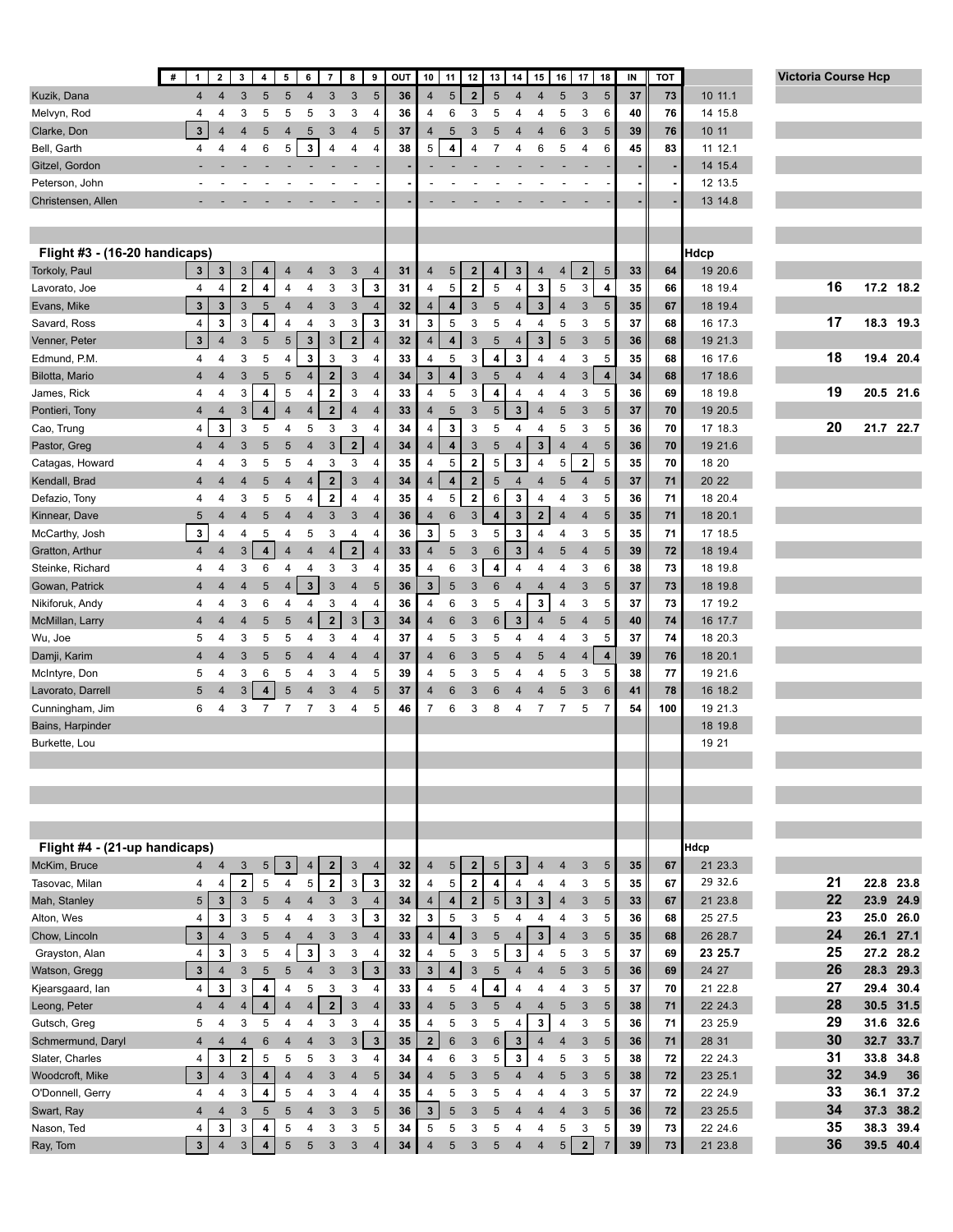|                                   | #<br>$\mathbf{1}$                 | $\mathbf{2}$                  | $\mathbf{3}$        | 4                            | 5                   | 6                       | $\overline{7}$                         | 8<br>$\pmb{9}$                            | OUT      | 10                           | 11                           | 12                       | 13                   | 14                | 15                            | 16                               | 17<br>18                  |                         | IN       | TOT      |                    | <b>Victoria Course Hcp</b> |              |           |
|-----------------------------------|-----------------------------------|-------------------------------|---------------------|------------------------------|---------------------|-------------------------|----------------------------------------|-------------------------------------------|----------|------------------------------|------------------------------|--------------------------|----------------------|-------------------|-------------------------------|----------------------------------|---------------------------|-------------------------|----------|----------|--------------------|----------------------------|--------------|-----------|
| Kuzik, Dana                       | 4                                 | 4                             | 3                   | 5                            | 5                   | $\overline{4}$          | 3                                      | 5<br>3                                    | 36       | $\overline{4}$               | 5                            | $\overline{\mathbf{2}}$  | 5                    | $\overline{4}$    | $\overline{4}$                | $\overline{5}$                   | 3                         | 5                       | 37       | 73       | 10 11.1            |                            |              |           |
| Melvyn, Rod                       | 4                                 | 4                             | 3                   | 5                            | 5                   | 5                       | 3                                      | 3<br>4                                    | 36       | 4                            | 6                            | 3                        | 5                    | 4                 | 4                             | 5                                | 3                         | 6                       | 40       | 76       | 14 15.8            |                            |              |           |
| Clarke, Don                       | $\mathbf{3}$                      | $\overline{\mathbf{A}}$       | $\overline{4}$      | 5                            | $\overline{4}$      | 5                       | $\mathbf{3}$                           | 5<br>$\overline{4}$                       | 37       | 4                            | 5                            | 3                        | 5                    | $\overline{4}$    | $\overline{4}$                | 6                                | 3                         | 5                       | 39       | 76       | 10 11              |                            |              |           |
| Bell, Garth                       | 4                                 | $\overline{4}$                | $\overline{4}$      | 6                            | 5                   | $\mathbf 3$             | 4                                      | 4<br>$\overline{4}$                       | 38       | 5                            | 4                            | 4                        | $\overline{7}$       | 4                 | 6                             | $\,$ 5 $\,$                      | 4                         | 6                       | 45       | 83       | 11 12.1            |                            |              |           |
| Gitzel, Gordon                    |                                   |                               |                     |                              |                     |                         |                                        |                                           |          |                              |                              |                          |                      |                   |                               |                                  |                           |                         |          |          | 14 15.4            |                            |              |           |
| Peterson, John                    |                                   |                               |                     |                              |                     |                         |                                        |                                           |          |                              |                              |                          |                      |                   |                               |                                  |                           |                         |          |          | 12 13.5            |                            |              |           |
| Christensen, Allen                |                                   |                               |                     |                              |                     |                         |                                        |                                           |          |                              |                              |                          |                      |                   |                               |                                  |                           |                         |          |          | 13 14.8            |                            |              |           |
|                                   |                                   |                               |                     |                              |                     |                         |                                        |                                           |          |                              |                              |                          |                      |                   |                               |                                  |                           |                         |          |          |                    |                            |              |           |
|                                   |                                   |                               |                     |                              |                     |                         |                                        |                                           |          |                              |                              |                          |                      |                   |                               |                                  |                           |                         |          |          |                    |                            |              |           |
| Flight #3 - (16-20 handicaps)     |                                   |                               |                     |                              |                     |                         |                                        |                                           |          |                              |                              |                          |                      |                   |                               |                                  |                           |                         |          |          | Hdcp               |                            |              |           |
| Torkoly, Paul                     | $\mathbf{3}$                      | 3                             | 3                   | $\overline{\mathbf{4}}$      | $\overline{4}$      | $\overline{4}$          | 3                                      | 3<br>$\overline{4}$                       | 31       | $\overline{4}$               | 5                            | $\overline{\mathbf{2}}$  | 4                    | 3                 | 4                             | $\overline{4}$                   | $\overline{2}$            | 5                       | 33       | 64       | 19 20.6            |                            |              |           |
| Lavorato, Joe                     | 4                                 | 4                             | $\bf 2$             | 4                            | 4                   | 4                       | 3                                      | 3<br>3                                    | 31       | 4                            | 5                            | $\bf{2}$                 | 5                    | 4                 | 3                             | 5                                | 3                         | 4                       | 35       | 66       | 18 19.4            | 16                         |              | 17.2 18.2 |
| Evans, Mike                       | $\mathbf 3$                       | 3                             | 3                   | $\sqrt{5}$                   | 4                   | $\overline{4}$          | $\sqrt{3}$                             | 3<br>$\overline{4}$                       | 32       | $\overline{4}$               | $\overline{\mathbf{4}}$      | 3                        | $5\phantom{.0}$      | $\overline{4}$    | $\mathbf{3}$                  | $\overline{4}$                   | $\ensuremath{\mathsf{3}}$ | 5                       | 35       | 67       | 18 19.4            |                            |              |           |
| Savard, Ross                      | 4                                 | $\mathbf 3$                   | 3                   | 4                            | 4                   | 4                       | 3                                      | 3<br>3                                    | 31       | 3                            | 5                            | 3                        | 5                    | 4                 | 4                             | 5                                | 3                         | 5                       | 37       | 68       | 16 17.3            | 17                         |              | 18.3 19.3 |
| Venner, Peter                     | $\mathbf 3$                       | $\overline{4}$                | 3                   | 5                            | $\sqrt{5}$          | $\mathbf{3}$            | $\sqrt{3}$                             | $\mathbf 2$<br>$\overline{4}$             | 32       | $\overline{4}$               | 4                            | 3                        | 5                    | 4                 | $\mathbf{3}$                  | 5                                | 3                         | 5                       | 36       | 68       | 19 21.3            |                            |              |           |
| Edmund, P.M.                      | 4                                 | 4                             | 3                   | 5                            | 4                   | 3                       | 3                                      | 3<br>4                                    | 33       | 4                            | 5                            | 3                        | 4                    | 3                 | 4                             | $\overline{4}$                   | 3                         | 5                       | 35       | 68       | 16 17.6            | 18                         |              | 19.4 20.4 |
| Bilotta, Mario                    | 4                                 | $\overline{4}$                | 3                   | 5                            | 5                   | $\overline{4}$          | $\overline{\mathbf{2}}$                | 3<br>$\overline{4}$                       | 34       | 3                            | $\overline{\mathbf{4}}$      | 3                        | $\sqrt{5}$           | $\overline{4}$    | $\overline{4}$                | $\overline{4}$                   | $\ensuremath{\mathsf{3}}$ | $\overline{\mathbf{4}}$ | 34       | 68       | 17 18.6            |                            |              |           |
| James, Rick                       | 4                                 | 4                             | 3                   | 4                            | 5                   | 4                       | $\overline{\mathbf{2}}$                | 3<br>4                                    | 33       | 4                            | 5                            | 3                        | 4                    | 4                 | 4                             | 4                                | 3                         | 5                       | 36       | 69       | 18 19.8            | 19                         |              | 20.5 21.6 |
| Pontieri, Tony                    | $\overline{4}$                    | $\overline{4}$                | 3                   | $\overline{\mathbf{4}}$      | $\overline{4}$      | $\overline{4}$          | $\overline{2}$                         | $\overline{4}$<br>$\overline{4}$          | 33       | 4                            | 5                            | 3                        | $5\phantom{.0}$      | $\mathbf{3}$      | $\overline{4}$                | 5                                | 3                         | 5                       | 37       | 70       | 19 20.5            |                            |              |           |
| Cao, Trung                        | 4                                 | $\mathbf 3$                   | 3                   | 5                            | 4                   | 5                       | 3                                      | 3<br>$\overline{4}$                       | 34       | 4                            | $\mathbf 3$                  | 3                        | 5                    | 4                 | 4                             | 5                                | 3                         | 5                       | 36       | 70       | 17 18.3            | 20                         |              | 21.7 22.7 |
| Pastor, Greg                      | $\overline{4}$                    | $\overline{4}$                | 3                   | 5                            | $\sqrt{5}$          | $\overline{4}$          | $\mathbf{3}$                           | $\overline{\mathbf{2}}$<br>$\overline{4}$ | 34       | $\overline{4}$               | $\boldsymbol{4}$             | $\mathbf{3}$             | $\sqrt{5}$           | $\overline{4}$    | $\mathbf{3}$                  | $\overline{4}$                   | $\overline{4}$            | $5\phantom{.0}$         | 36       | 70       | 19 21.6            |                            |              |           |
| Catagas, Howard                   | 4                                 | 4                             | 3                   | 5                            | 5                   | 4                       | 3                                      | 3<br>4                                    | 35       | 4                            | $\mathbf 5$                  | $\bf{2}$                 | 5                    | 3                 | $\overline{\mathbf{4}}$       | 5                                | $\overline{\mathbf{2}}$   | 5                       | 35       | 70       | 18 20              |                            |              |           |
| Kendall, Brad                     | $\overline{4}$                    | $\overline{4}$                | 4                   | 5                            | $\overline{4}$      | 4                       | $\overline{\mathbf{2}}$                | 3<br>$\overline{4}$                       | 34       | $\overline{4}$               | $\boldsymbol{4}$             | $\mathbf 2$              | $\sqrt{5}$           | 4                 | $\overline{4}$                | 5                                | 4                         | 5                       | 37       | 71       | 20 22              |                            |              |           |
| Defazio, Tony                     | 4                                 | 4                             | 3                   | 5                            | 5                   | 4                       | $\bf{2}$                               | 4<br>4                                    | 35       | 4                            | 5                            | $\bf{2}$                 | 6                    | 3                 | 4                             | 4                                | 3                         | 5                       | 36       | 71       | 18 20.4            |                            |              |           |
| Kinnear, Dave                     | 5                                 | 4                             | $\overline{4}$      | 5                            | $\overline{4}$      | 4                       | $\mathbf{3}$                           | 3<br>$\overline{4}$                       | 36       | 4                            | 6                            | 3                        | 4                    | 3                 | $\overline{2}$                | $\overline{4}$                   | $\overline{4}$            | $5\phantom{.0}$         | 35       | 71       | 18 20.1            |                            |              |           |
| McCarthy, Josh                    | 3                                 | 4                             | 4                   | 5                            | 4                   | 5                       | 3                                      | 4<br>$\overline{4}$                       | 36       | 3                            | 5                            | 3                        | 5                    | 3                 | $\overline{4}$                | $\overline{4}$                   | 3                         | 5                       | 35       | 71       | 17 18.5            |                            |              |           |
| Gratton, Arthur                   | $\overline{4}$                    | $\overline{4}$                | 3                   | $\overline{4}$               | $\overline{4}$      | $\overline{4}$          | $\overline{4}$                         | $\overline{\mathbf{2}}$<br>$\overline{4}$ | 33       | $\overline{4}$               | 5                            | 3                        | $6\phantom{1}6$      | 3                 | $\overline{4}$                | 5                                | $\overline{4}$            | 5                       | 39       | 72       | 18 19.4            |                            |              |           |
| Steinke, Richard                  | 4                                 | 4                             | 3                   | 6                            | 4                   | 4                       | 3                                      | 3<br>$\overline{4}$                       | 35       | 4                            | 6                            | 3                        | 4                    | 4                 | 4                             | $\overline{4}$                   | 3                         | 6                       | 38       | 73       | 18 19.8            |                            |              |           |
| Gowan, Patrick                    | 4                                 | 4                             | 4                   | 5                            | $\overline{4}$      | $\overline{\mathbf{3}}$ | $\mathbf{3}$                           | $\overline{4}$<br>5                       | 36       | 3                            | 5                            | 3                        | $6\phantom{1}6$      | $\overline{4}$    | $\overline{4}$                | $\overline{4}$                   | $\ensuremath{\mathsf{3}}$ | 5                       | 37       | 73       | 18 19.8            |                            |              |           |
| Nikiforuk, Andy                   | 4                                 | 4                             | 3                   | 6                            | 4                   | 4                       | 3                                      | 4<br>4                                    | 36       | 4                            | 6                            | 3                        | 5                    | 4                 | 3                             | $\overline{4}$                   | 3                         | 5                       | 37       | 73       | 17 19.2            |                            |              |           |
| McMillan, Larry                   | $\overline{4}$                    | 4                             | 4                   | 5                            | 5                   | 4                       | $\mathbf 2$                            | $\mathbf{3}$<br>$\sqrt{3}$                | 34       | 4                            | $6\phantom{1}6$              | 3                        | $6\phantom{1}6$      | $\mathbf 3$       | $\overline{4}$                | $\sqrt{5}$                       | 4                         | $5\phantom{.0}$         | 40       | 74       | 16 17.7            |                            |              |           |
| Wu, Joe                           | 5                                 | 4                             | 3                   | 5                            | 5                   | 4                       | 3                                      | $\overline{4}$<br>4                       | 37       | 4                            | 5                            | 3                        | 5                    | 4                 | 4                             | 4                                | 3                         | 5                       | 37       | 74       | 18 20.3            |                            |              |           |
| Damji, Karim                      | 4                                 | 4                             | 3                   | 5                            | 5                   | $\overline{4}$          | 4                                      | $\overline{4}$<br>$\overline{4}$          | 37       | $\overline{4}$               | 6                            | 3                        | 5                    | $\overline{4}$    | 5                             | $\overline{4}$                   | $\overline{\mathbf{4}}$   | $\pmb{4}$               | 39       | 76       | 18 20.1            |                            |              |           |
| McIntyre, Don                     | 5                                 | 4                             | 3                   | 6                            | 5                   | 4                       | 3                                      | 5<br>4                                    | 39       | 4                            | 5                            | 3                        | 5                    | 4                 | 4                             | 5                                | 3                         | 5                       | 38       | 77       | 19 21.6            |                            |              |           |
| Lavorato, Darrell                 | 5                                 | $\Delta$                      | 3                   | 4                            | 5                   | $\overline{4}$          | 3                                      | $\overline{4}$<br>5                       | 37       | 4                            | 6                            | 3                        | 6                    | $\overline{4}$    | $\overline{4}$                | 5                                | 3                         | 6                       | 41       | 78       | 16 18.2            |                            |              |           |
| Cunningham, Jim                   | 6                                 | 4                             | 3                   | $\overline{7}$               | $\overline{7}$      | $\overline{7}$          | 3                                      | 5<br>4                                    | 46       | $\overline{7}$               | 6                            | 3                        | 8                    | 4                 | 7                             | $\overline{7}$                   | 5                         | $\overline{7}$          | 54       | 100      | 19 21.3            |                            |              |           |
| Bains, Harpinder                  |                                   |                               |                     |                              |                     |                         |                                        |                                           |          |                              |                              |                          |                      |                   |                               |                                  |                           |                         |          |          | 18 19.8            |                            |              |           |
| Burkette, Lou                     |                                   |                               |                     |                              |                     |                         |                                        |                                           |          |                              |                              |                          |                      |                   |                               |                                  |                           |                         |          |          | 19 21              |                            |              |           |
|                                   |                                   |                               |                     |                              |                     |                         |                                        |                                           |          |                              |                              |                          |                      |                   |                               |                                  |                           |                         |          |          |                    |                            |              |           |
|                                   |                                   |                               |                     |                              |                     |                         |                                        |                                           |          |                              |                              |                          |                      |                   |                               |                                  |                           |                         |          |          |                    |                            |              |           |
|                                   |                                   |                               |                     |                              |                     |                         |                                        |                                           |          |                              |                              |                          |                      |                   |                               |                                  |                           |                         |          |          |                    |                            |              |           |
|                                   |                                   |                               |                     |                              |                     |                         |                                        |                                           |          |                              |                              |                          |                      |                   |                               |                                  |                           |                         |          |          |                    |                            |              |           |
| Flight #4 - (21-up handicaps)     |                                   |                               |                     |                              |                     |                         |                                        |                                           |          |                              |                              |                          |                      |                   |                               |                                  |                           |                         |          |          | <b>Hdcp</b>        |                            |              |           |
|                                   |                                   |                               |                     |                              |                     |                         |                                        |                                           |          |                              |                              |                          |                      |                   |                               |                                  |                           |                         |          |          |                    |                            |              |           |
| McKim, Bruce<br>Tasovac, Milan    | 4                                 | $\overline{4}$                | 3<br>$\mathbf{2}$   | 5<br>5                       | $\mathbf{3}$<br>4   | $\overline{4}$<br>5     | $\overline{\mathbf{2}}$<br>$\mathbf 2$ | 3<br>$\overline{4}$<br>$\mathbf{3}$<br>3  | 32<br>32 | $\overline{4}$<br>4          | 5<br>5                       | $\mathbf{2}$<br>$\bf{2}$ | 5<br>4               | $\mathbf{3}$<br>4 | $\overline{4}$                | $\overline{4}$<br>$\overline{4}$ | 3<br>3                    | 5<br>5                  | 35<br>35 | 67<br>67 | 21 23.3<br>29 32.6 | 21                         | 22.8         | 23.8      |
|                                   | $\overline{4}$<br>$5\phantom{.0}$ | 4                             | $\sqrt{3}$          | 5                            | $\overline{4}$      |                         |                                        | $\overline{4}$<br>$\mathbf{3}$            |          |                              | $\pmb{4}$                    | $\overline{\mathbf{2}}$  | $\overline{5}$       | $\mathbf{3}$      | 4<br>$\mathbf{3}$             | $\overline{4}$                   | $\mathbf{3}$              | $5\phantom{.0}$         |          |          | 21 23.8            | 22                         | 23.9         | 24.9      |
| Mah, Stanley<br>Alton, Wes        | $\overline{\mathbf{4}}$           | $\mathbf{3}$<br>3             | 3                   | 5                            |                     | $\overline{4}$<br>4     | $\mathbf{3}$<br>3                      | 3<br>3                                    | 34<br>32 | $\overline{4}$<br>3          | $\sqrt{5}$                   | 3                        | 5                    | 4                 | 4                             | 4                                | 3                         | 5                       | 33<br>36 | 67<br>68 | 25 27.5            | 23                         | 25.0         | 26.0      |
|                                   |                                   |                               | 3                   | 5                            | 4                   | $\overline{4}$          | $\mathbf{3}$                           |                                           |          |                              | $\overline{\mathbf{4}}$      | 3                        | $5\phantom{.0}$      | $\overline{4}$    | $\overline{\mathbf{3}}$       | $\overline{4}$                   | 3                         | $5\phantom{.0}$         |          |          | 26 28.7            | 24                         | 26.1         | 27.1      |
| Chow, Lincoln                     | $\mathbf 3$<br>$\overline{4}$     | $\overline{4}$<br>$\mathbf 3$ |                     | 5                            | $\overline{4}$      | $\mathbf 3$             | $\mathsf 3$                            | 3<br>$\overline{4}$                       | 33<br>32 | $\overline{4}$               |                              | 3                        | 5                    | 3                 | $\overline{\mathbf{4}}$       |                                  | 3                         | 5                       | 35<br>37 | 68<br>69 | 23 25.7            | 25                         |              | 27.2 28.2 |
| Grayston, Alan                    |                                   |                               | 3                   | 5                            | 4                   |                         | $\mathbf{3}$                           | 3<br>4<br>$\mathbf{3}$<br>$\mathbf{3}$    |          | 4                            | 5<br>$\overline{\mathbf{4}}$ | 3                        | $5\phantom{.0}$      | $\overline{4}$    | $\overline{4}$                | 5<br>$5\phantom{.0}$             |                           |                         |          |          |                    | 26                         | 28.3         | 29.3      |
| Watson, Gregg                     | $\mathbf 3$                       | $\overline{4}$                | 3                   |                              | $5\phantom{.0}$     | $\overline{4}$          |                                        |                                           | 33       | $\mathbf{3}$                 |                              |                          |                      |                   |                               |                                  | 3                         | $5\phantom{.0}$<br>5    | 36       | 69       | 24 27              | 27                         |              | 30.4      |
| Kjearsgaard, lan                  | 4                                 | $\mathbf 3$<br>$\overline{4}$ | 3                   | 4                            | 4<br>$\overline{4}$ | 5                       | 3<br>$\mathbf 2$                       | 3<br>$\overline{4}$<br>$\mathbf{3}$       | 33       | $\overline{4}$               | 5<br>5                       | 4                        | 4                    | 4                 | 4                             | 4                                | 3                         |                         | 37       | 70       | 21 22.8            | 28                         | 29.4<br>30.5 | 31.5      |
| Leong, Peter                      | $\overline{4}$<br>5               |                               | $\overline{4}$<br>3 | $\overline{\mathbf{4}}$<br>5 | 4                   | $\overline{4}$          |                                        | $\overline{4}$<br>$\overline{4}$          | 33<br>35 | $\overline{4}$               |                              | 3<br>3                   | 5                    | 4                 | $\overline{4}$<br>$\mathbf 3$ | $\overline{5}$<br>$\overline{4}$ | $\sqrt{3}$<br>3           | 5<br>5                  | 38<br>36 | 71<br>71 | 22 24.3<br>23 25.9 | 29                         | 31.6         | 32.6      |
| Gutsch, Greg<br>Schmermund, Daryl | $\overline{4}$                    | 4                             | $\overline{4}$      | 6                            | $\overline{4}$      | 4<br>$\overline{4}$     | 3<br>$\mathbf{3}$                      | 3<br>$\mathbf{3}$<br>$\mathbf{3}$         | 35       | 4<br>$\overline{\mathbf{2}}$ | 5<br>6                       | 3                        | 5                    | 4                 | $\overline{4}$                | $\overline{4}$                   | 3                         | $5\phantom{.0}$         | 36       | 71       | 28 31              | 30                         | 32.7         | 33.7      |
| Slater, Charles                   | $\overline{\mathbf{4}}$           | $\overline{4}$<br>3           | $\bf 2$             | 5                            | 5                   | 5                       | 3                                      | $\overline{4}$<br>3                       | 34       | 4                            | 6                            | 3                        | $6\phantom{1}6$<br>5 | 3<br>3            | 4                             | 5                                | 3                         | 5                       | 38       | 72       | 22 24.3            | 31                         | 33.8         | 34.8      |
| Woodcroft, Mike                   | $\mathbf{3}$                      | $\overline{4}$                | $\sqrt{3}$          | $\overline{\mathbf{4}}$      | $\overline{4}$      | $\overline{4}$          | $\mathbf{3}$                           | 5<br>$\overline{4}$                       | 34       | $\overline{4}$               | 5                            | 3                        | 5                    | $\overline{4}$    | 4                             | $\sqrt{5}$                       | 3                         | $5\phantom{.0}$         | 38       | 72       | 23 25.1            | 32                         | 34.9         | 36        |
| O'Donnell, Gerry                  | 4                                 | 4                             | 3                   | 4                            | 5                   | 4                       | 3                                      | $\overline{4}$<br>4                       | 35       | 4                            | 5                            | 3                        | 5                    | 4                 | 4                             | 4                                | 3                         | 5                       | 37       | 72       | 22 24.9            | 33                         | 36.1         | 37.2      |
| Swart, Ray                        | $\overline{4}$                    | $\overline{4}$                | 3                   | 5                            | 5                   | $\overline{4}$          | 3                                      | 5<br>3                                    | 36       | $\mathbf{3}$                 | 5                            | 3                        | 5                    | $\overline{4}$    | $\overline{4}$                | $\overline{4}$                   | 3                         | $5\phantom{.0}$         | 36       | 72       | 23 25.5            | 34                         | 37.3         | 38.2      |
| Nason, Ted                        | $\overline{4}$                    | 3                             | 3                   | 4                            | 5                   | 4                       | 3                                      | 3<br>5                                    | 34       | 5                            | 5                            | 3                        | 5                    | 4                 | 4                             | 5                                | 3                         | 5                       | 39       | 73       | 22 24.6            | 35                         | 38.3         | 39.4      |
| Ray, Tom                          | $\mathbf 3$                       | $\overline{4}$                | $\sqrt{3}$          | $\overline{\mathbf{4}}$      | 5                   | 5                       | 3                                      | 3<br>$\overline{4}$                       | 34       | $\overline{4}$               | 5                            | 3                        | 5                    | 4                 | 4                             | 5                                | $\mathbf 2$               | $\overline{7}$          | 39       | 73       | 21 23.8            | 36                         |              | 39.5 40.4 |
|                                   |                                   |                               |                     |                              |                     |                         |                                        |                                           |          |                              |                              |                          |                      |                   |                               |                                  |                           |                         |          |          |                    |                            |              |           |